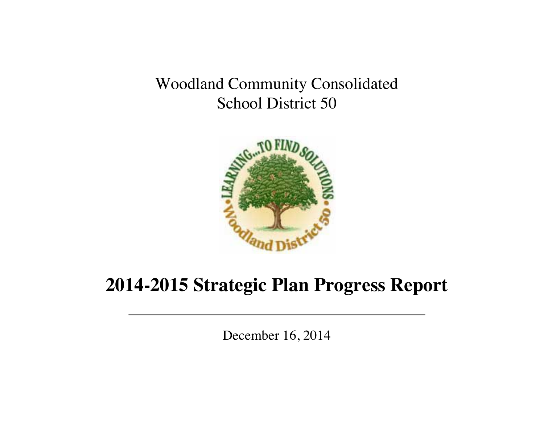Woodland Community Consolidated School District 50



# **2014-2015 Strategic Plan Progress Report**

December 16, 2014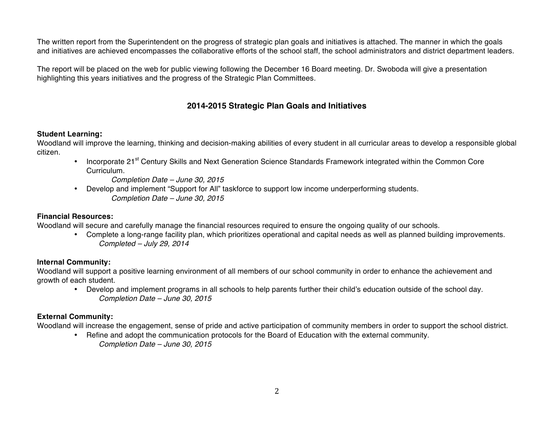The written report from the Superintendent on the progress of strategic plan goals and initiatives is attached. The manner in which the goals and initiatives are achieved encompasses the collaborative efforts of the school staff, the school administrators and district department leaders.

The report will be placed on the web for public viewing following the December 16 Board meeting. Dr. Swoboda will give a presentation highlighting this years initiatives and the progress of the Strategic Plan Committees.

### **2014-2015 Strategic Plan Goals and Initiatives**

#### **Student Learning:**

Woodland will improve the learning, thinking and decision-making abilities of every student in all curricular areas to develop a responsible global citizen.

- Incorporate 21<sup>st</sup> Century Skills and Next Generation Science Standards Framework integrated within the Common Core Curriculum.
	- *Completion Date – June 30, 2015*
- Develop and implement "Support for All" taskforce to support low income underperforming students. *Completion Date – June 30, 2015*

#### **Financial Resources:**

Woodland will secure and carefully manage the financial resources required to ensure the ongoing quality of our schools.

• Complete a long-range facility plan, which prioritizes operational and capital needs as well as planned building improvements. *Completed – July 29, 2014*

#### **Internal Community:**

Woodland will support a positive learning environment of all members of our school community in order to enhance the achievement and growth of each student.

• Develop and implement programs in all schools to help parents further their child's education outside of the school day. *Completion Date – June 30, 2015*

### **External Community:**

Woodland will increase the engagement, sense of pride and active participation of community members in order to support the school district.

• Refine and adopt the communication protocols for the Board of Education with the external community. *Completion Date – June 30, 2015*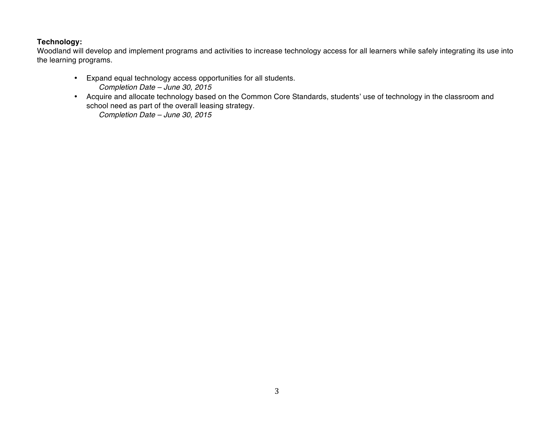### **Technology:**

Woodland will develop and implement programs and activities to increase technology access for all learners while safely integrating its use into the learning programs.

- Expand equal technology access opportunities for all students. *Completion Date – June 30, 2015*
- Acquire and allocate technology based on the Common Core Standards, students' use of technology in the classroom and school need as part of the overall leasing strategy. *Completion Date – June 30, 2015*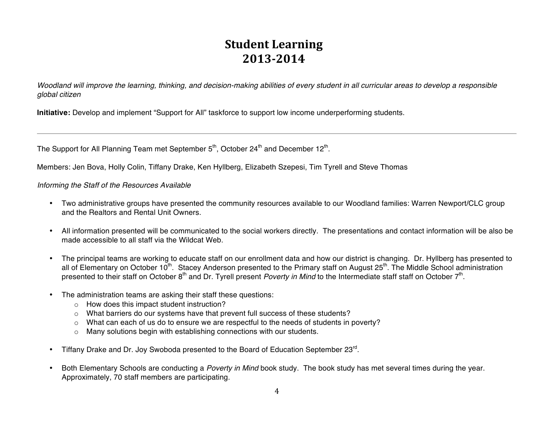## **Student Learning 2013-2014**

*Woodland will improve the learning, thinking, and decision-making abilities of every student in all curricular areas to develop a responsible global citizen*

**Initiative:** Develop and implement "Support for All" taskforce to support low income underperforming students.

The Support for All Planning Team met September  $5<sup>th</sup>$ , October 24<sup>th</sup> and December 12<sup>th</sup>.

Members: Jen Bova, Holly Colin, Tiffany Drake, Ken Hyllberg, Elizabeth Szepesi, Tim Tyrell and Steve Thomas

*Informing the Staff of the Resources Available*

- Two administrative groups have presented the community resources available to our Woodland families: Warren Newport/CLC group and the Realtors and Rental Unit Owners.
- All information presented will be communicated to the social workers directly. The presentations and contact information will be also be made accessible to all staff via the Wildcat Web.
- The principal teams are working to educate staff on our enrollment data and how our district is changing. Dr. Hyllberg has presented to all of Elementary on October 10<sup>th</sup>. Stacey Anderson presented to the Primary staff on August 25<sup>th</sup>. The Middle School administration presented to their staff on October 8<sup>th</sup> and Dr. Tyrell present *Poverty in Mind* to the Intermediate staff staff on October 7<sup>th</sup>.
- The administration teams are asking their staff these questions:
	- o How does this impact student instruction?
	- $\circ$  What barriers do our systems have that prevent full success of these students?
	- $\circ$  What can each of us do to ensure we are respectful to the needs of students in poverty?
	- o Many solutions begin with establishing connections with our students.
- Tiffany Drake and Dr. Joy Swoboda presented to the Board of Education September 23<sup>rd</sup>.
- Both Elementary Schools are conducting a *Poverty in Mind* book study. The book study has met several times during the year. Approximately, 70 staff members are participating.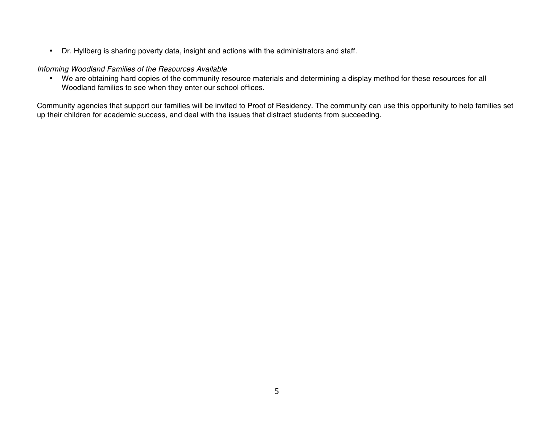• Dr. Hyllberg is sharing poverty data, insight and actions with the administrators and staff.

#### *Informing Woodland Families of the Resources Available*

• We are obtaining hard copies of the community resource materials and determining a display method for these resources for all Woodland families to see when they enter our school offices.

Community agencies that support our families will be invited to Proof of Residency. The community can use this opportunity to help families set up their children for academic success, and deal with the issues that distract students from succeeding.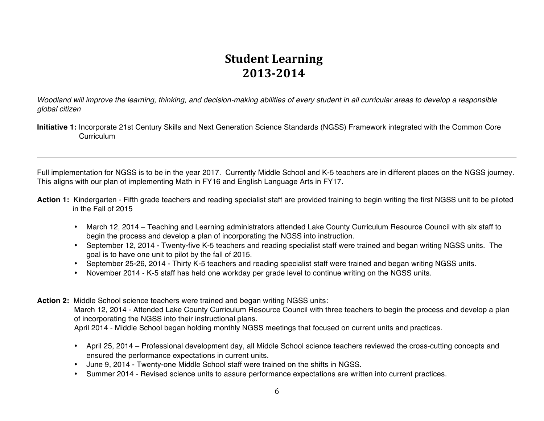## **Student Learning 2013-2014**

*Woodland will improve the learning, thinking, and decision-making abilities of every student in all curricular areas to develop a responsible global citizen*

**Initiative 1:** Incorporate 21st Century Skills and Next Generation Science Standards (NGSS) Framework integrated with the Common Core **Curriculum** 

Full implementation for NGSS is to be in the year 2017. Currently Middle School and K-5 teachers are in different places on the NGSS journey. This aligns with our plan of implementing Math in FY16 and English Language Arts in FY17.

- **Action 1:** Kindergarten Fifth grade teachers and reading specialist staff are provided training to begin writing the first NGSS unit to be piloted in the Fall of 2015
	- March 12, 2014 Teaching and Learning administrators attended Lake County Curriculum Resource Council with six staff to begin the process and develop a plan of incorporating the NGSS into instruction.
	- September 12, 2014 Twenty-five K-5 teachers and reading specialist staff were trained and began writing NGSS units. The goal is to have one unit to pilot by the fall of 2015.
	- September 25-26, 2014 Thirty K-5 teachers and reading specialist staff were trained and began writing NGSS units.
	- November 2014 K-5 staff has held one workday per grade level to continue writing on the NGSS units.
- **Action 2:** Middle School science teachers were trained and began writing NGSS units:

March 12, 2014 - Attended Lake County Curriculum Resource Council with three teachers to begin the process and develop a plan of incorporating the NGSS into their instructional plans. April 2014 - Middle School began holding monthly NGSS meetings that focused on current units and practices.

- April 25, 2014 Professional development day, all Middle School science teachers reviewed the cross-cutting concepts and ensured the performance expectations in current units.
- June 9, 2014 Twenty-one Middle School staff were trained on the shifts in NGSS.
- Summer 2014 Revised science units to assure performance expectations are written into current practices.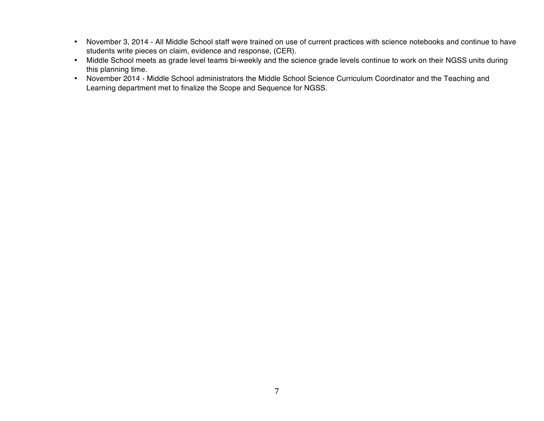- November 3, 2014 All Middle School staff were trained on use of current practices with science notebooks and continue to have students write pieces on claim, evidence and response, (CER).
- Middle School meets as grade level teams bi-weekly and the science grade levels continue to work on their NGSS units during this planning time.
- November 2014 Middle School administrators the Middle School Science Curriculum Coordinator and the Teaching and Learning department met to finalize the Scope and Sequence for NGSS.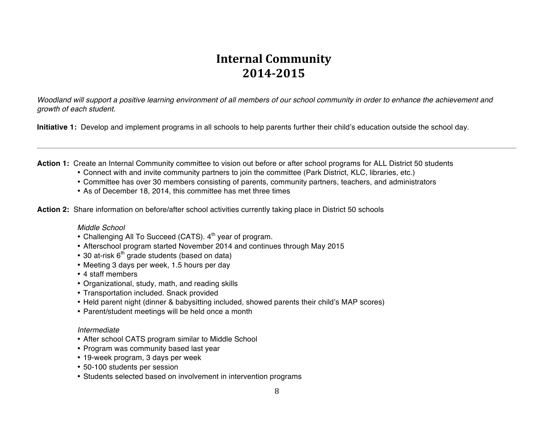## **Internal Community 2014-2015**

*Woodland will support a positive learning environment of all members of our school community in order to enhance the achievement and growth of each student.*

**Initiative 1:** Develop and implement programs in all schools to help parents further their child's education outside the school day.

Action 1: Create an Internal Community committee to vision out before or after school programs for ALL District 50 students

- Connect with and invite community partners to join the committee (Park District, KLC, libraries, etc.)
- Committee has over 30 members consisting of parents, community partners, teachers, and administrators
- As of December 18, 2014, this committee has met three times

**Action 2:** Share information on before/after school activities currently taking place in District 50 schools

#### *Middle School*

- Challenging All To Succeed (CATS).  $4<sup>th</sup>$  year of program.
- Afterschool program started November 2014 and continues through May 2015
- $\cdot$  30 at-risk  $6<sup>th</sup>$  grade students (based on data)
- Meeting 3 days per week, 1.5 hours per day
- 4 staff members
- Organizational, study, math, and reading skills
- Transportation included. Snack provided
- Held parent night (dinner & babysitting included, showed parents their child's MAP scores)
- Parent/student meetings will be held once a month

#### *Intermediate*

- After school CATS program similar to Middle School
- Program was community based last year
- 19-week program, 3 days per week
- 50-100 students per session
- Students selected based on involvement in intervention programs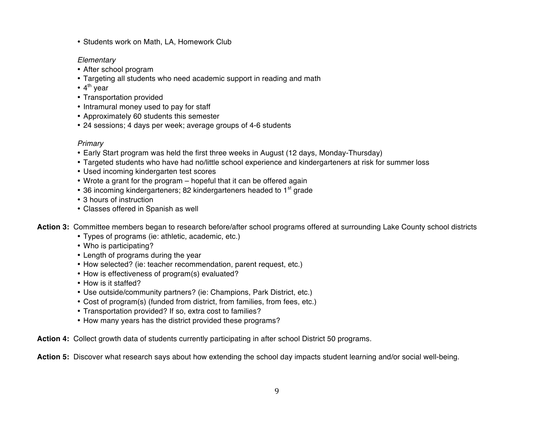• Students work on Math, LA, Homework Club

#### *Elementary*

- After school program
- Targeting all students who need academic support in reading and math
- $\cdot$  4<sup>th</sup> year
- Transportation provided
- Intramural money used to pay for staff
- Approximately 60 students this semester
- 24 sessions; 4 days per week; average groups of 4-6 students

#### *Primary*

- Early Start program was held the first three weeks in August (12 days, Monday-Thursday)
- Targeted students who have had no/little school experience and kindergarteners at risk for summer loss
- Used incoming kindergarten test scores
- Wrote a grant for the program hopeful that it can be offered again
- 36 incoming kindergarteners; 82 kindergarteners headed to 1<sup>st</sup> grade
- 3 hours of instruction
- Classes offered in Spanish as well
- **Action 3:** Committee members began to research before/after school programs offered at surrounding Lake County school districts
	- Types of programs (ie: athletic, academic, etc.)
	- Who is participating?
	- Length of programs during the year
	- How selected? (ie: teacher recommendation, parent request, etc.)
	- How is effectiveness of program(s) evaluated?
	- How is it staffed?
	- Use outside/community partners? (ie: Champions, Park District, etc.)
	- Cost of program(s) (funded from district, from families, from fees, etc.)
	- Transportation provided? If so, extra cost to families?
	- How many years has the district provided these programs?

**Action 4:** Collect growth data of students currently participating in after school District 50 programs.

**Action 5:** Discover what research says about how extending the school day impacts student learning and/or social well-being.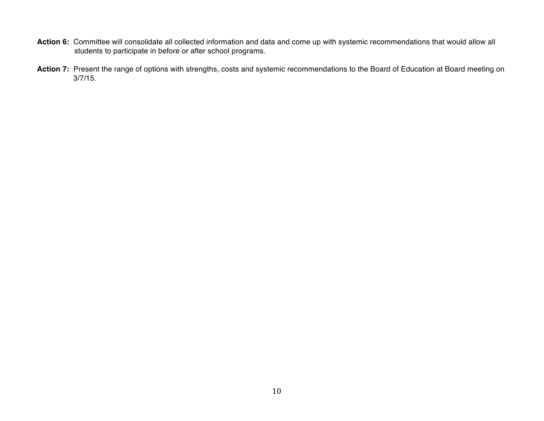- **Action 6:** Committee will consolidate all collected information and data and come up with systemic recommendations that would allow all students to participate in before or after school programs.
- Action 7: Present the range of options with strengths, costs and systemic recommendations to the Board of Education at Board meeting on 3/7/15.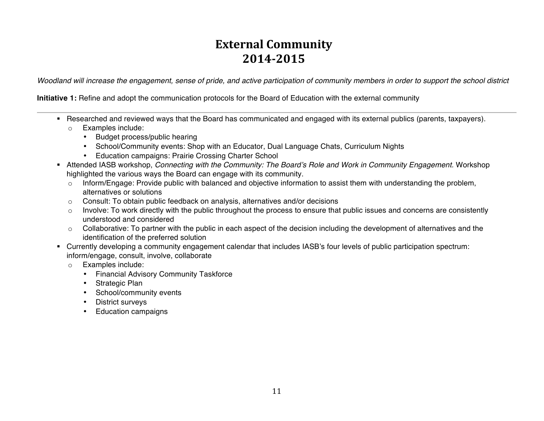## **External Community 2014-2015**

*Woodland will increase the engagement, sense of pride, and active participation of community members in order to support the school district*

**Initiative 1:** Refine and adopt the communication protocols for the Board of Education with the external community

- ! Researched and reviewed ways that the Board has communicated and engaged with its external publics (parents, taxpayers).
	- o Examples include:
		- Budget process/public hearing
		- School/Community events: Shop with an Educator, Dual Language Chats, Curriculum Nights
		- Education campaigns: Prairie Crossing Charter School
- ! Attended IASB workshop, *Connecting with the Community: The Board's Role and Work in Community Engagement.* Workshop highlighted the various ways the Board can engage with its community.
	- $\circ$  Inform/Engage: Provide public with balanced and objective information to assist them with understanding the problem, alternatives or solutions
	- o Consult: To obtain public feedback on analysis, alternatives and/or decisions
	- $\circ$  Involve: To work directly with the public throughout the process to ensure that public issues and concerns are consistently understood and considered
	- $\circ$  Collaborative: To partner with the public in each aspect of the decision including the development of alternatives and the identification of the preferred solution
- ! Currently developing a community engagement calendar that includes IASB's four levels of public participation spectrum: inform/engage, consult, involve, collaborate
	- o Examples include:
		- Financial Advisory Community Taskforce
		- Strategic Plan
		- School/community events
		- District surveys
		- Education campaigns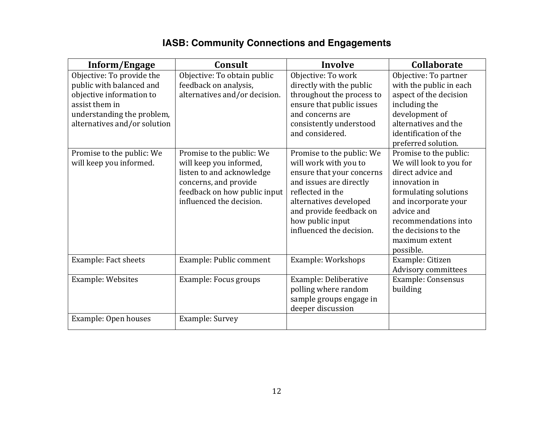### **IASB: Community Connections and Engagements**

| Inform/Engage                                                                                                                                                     | Consult                                                                                                                                                                | Involve                                                                                                                                                                                                                             | <b>Collaborate</b>                                                                                                                                                                                                                    |
|-------------------------------------------------------------------------------------------------------------------------------------------------------------------|------------------------------------------------------------------------------------------------------------------------------------------------------------------------|-------------------------------------------------------------------------------------------------------------------------------------------------------------------------------------------------------------------------------------|---------------------------------------------------------------------------------------------------------------------------------------------------------------------------------------------------------------------------------------|
| Objective: To provide the<br>public with balanced and<br>objective information to<br>assist them in<br>understanding the problem,<br>alternatives and/or solution | Objective: To obtain public<br>feedback on analysis,<br>alternatives and/or decision.                                                                                  | Objective: To work<br>directly with the public<br>throughout the process to<br>ensure that public issues<br>and concerns are<br>consistently understood<br>and considered.                                                          | Objective: To partner<br>with the public in each<br>aspect of the decision<br>including the<br>development of<br>alternatives and the<br>identification of the<br>preferred solution.                                                 |
| Promise to the public: We<br>will keep you informed.                                                                                                              | Promise to the public: We<br>will keep you informed,<br>listen to and acknowledge<br>concerns, and provide<br>feedback on how public input<br>influenced the decision. | Promise to the public: We<br>will work with you to<br>ensure that your concerns<br>and issues are directly<br>reflected in the<br>alternatives developed<br>and provide feedback on<br>how public input<br>influenced the decision. | Promise to the public:<br>We will look to you for<br>direct advice and<br>innovation in<br>formulating solutions<br>and incorporate your<br>advice and<br>recommendations into<br>the decisions to the<br>maximum extent<br>possible. |
| <b>Example: Fact sheets</b>                                                                                                                                       | Example: Public comment                                                                                                                                                | Example: Workshops                                                                                                                                                                                                                  | Example: Citizen<br>Advisory committees                                                                                                                                                                                               |
| Example: Websites                                                                                                                                                 | Example: Focus groups                                                                                                                                                  | Example: Deliberative<br>polling where random<br>sample groups engage in<br>deeper discussion                                                                                                                                       | <b>Example: Consensus</b><br>building                                                                                                                                                                                                 |
| Example: Open houses                                                                                                                                              | Example: Survey                                                                                                                                                        |                                                                                                                                                                                                                                     |                                                                                                                                                                                                                                       |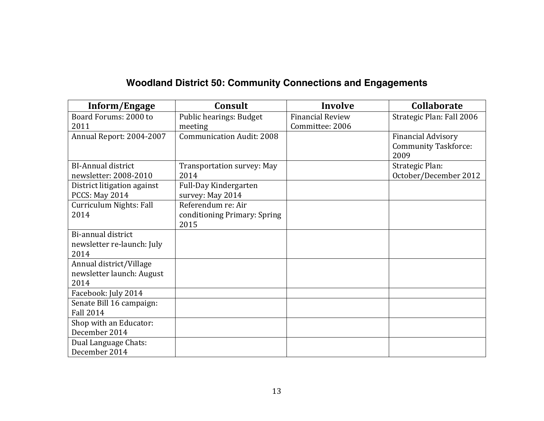### **Woodland District 50: Community Connections and Engagements**

| Inform/Engage               | Consult                          | <b>Involve</b>          | Collaborate                         |
|-----------------------------|----------------------------------|-------------------------|-------------------------------------|
| Board Forums: 2000 to       | Public hearings: Budget          | <b>Financial Review</b> | Strategic Plan: Fall 2006           |
| 2011                        | meeting                          | Committee: 2006         |                                     |
| Annual Report: 2004-2007    | <b>Communication Audit: 2008</b> |                         | <b>Financial Advisory</b>           |
|                             |                                  |                         | <b>Community Taskforce:</b><br>2009 |
| <b>BI-Annual district</b>   | Transportation survey: May       |                         | Strategic Plan:                     |
| newsletter: 2008-2010       | 2014                             |                         | October/December 2012               |
| District litigation against | Full-Day Kindergarten            |                         |                                     |
| PCCS: May 2014              | survey: May 2014                 |                         |                                     |
| Curriculum Nights: Fall     | Referendum re: Air               |                         |                                     |
| 2014                        | conditioning Primary: Spring     |                         |                                     |
|                             | 2015                             |                         |                                     |
| Bi-annual district          |                                  |                         |                                     |
| newsletter re-launch: July  |                                  |                         |                                     |
| 2014                        |                                  |                         |                                     |
| Annual district/Village     |                                  |                         |                                     |
| newsletter launch: August   |                                  |                         |                                     |
| 2014                        |                                  |                         |                                     |
| Facebook: July 2014         |                                  |                         |                                     |
| Senate Bill 16 campaign:    |                                  |                         |                                     |
| <b>Fall 2014</b>            |                                  |                         |                                     |
| Shop with an Educator:      |                                  |                         |                                     |
| December 2014               |                                  |                         |                                     |
| Dual Language Chats:        |                                  |                         |                                     |
| December 2014               |                                  |                         |                                     |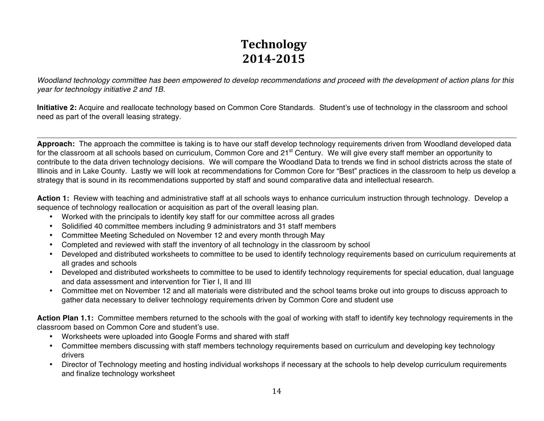# **Technology 2014-2015**

*Woodland technology committee has been empowered to develop recommendations and proceed with the development of action plans for this year for technology initiative 2 and 1B.*

**Initiative 2:** Acquire and reallocate technology based on Common Core Standards. Student's use of technology in the classroom and school need as part of the overall leasing strategy.

**Approach:** The approach the committee is taking is to have our staff develop technology requirements driven from Woodland developed data for the classroom at all schools based on curriculum, Common Core and 21<sup>st</sup> Century. We will give every staff member an opportunity to contribute to the data driven technology decisions. We will compare the Woodland Data to trends we find in school districts across the state of Illinois and in Lake County. Lastly we will look at recommendations for Common Core for "Best" practices in the classroom to help us develop a strategy that is sound in its recommendations supported by staff and sound comparative data and intellectual research.

**Action 1:** Review with teaching and administrative staff at all schools ways to enhance curriculum instruction through technology. Develop a sequence of technology reallocation or acquisition as part of the overall leasing plan.

- Worked with the principals to identify key staff for our committee across all grades
- Solidified 40 committee members including 9 administrators and 31 staff members
- Committee Meeting Scheduled on November 12 and every month through May
- Completed and reviewed with staff the inventory of all technology in the classroom by school
- Developed and distributed worksheets to committee to be used to identify technology requirements based on curriculum requirements at all grades and schools
- Developed and distributed worksheets to committee to be used to identify technology requirements for special education, dual language and data assessment and intervention for Tier I, II and III
- Committee met on November 12 and all materials were distributed and the school teams broke out into groups to discuss approach to gather data necessary to deliver technology requirements driven by Common Core and student use

**Action Plan 1.1:** Committee members returned to the schools with the goal of working with staff to identify key technology requirements in the classroom based on Common Core and student's use.

- Worksheets were uploaded into Google Forms and shared with staff
- Committee members discussing with staff members technology requirements based on curriculum and developing key technology drivers
- Director of Technology meeting and hosting individual workshops if necessary at the schools to help develop curriculum requirements and finalize technology worksheet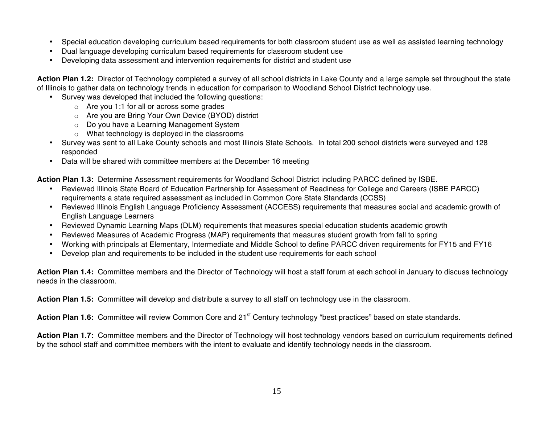- Special education developing curriculum based requirements for both classroom student use as well as assisted learning technology
- Dual language developing curriculum based requirements for classroom student use
- Developing data assessment and intervention requirements for district and student use

**Action Plan 1.2:** Director of Technology completed a survey of all school districts in Lake County and a large sample set throughout the state of Illinois to gather data on technology trends in education for comparison to Woodland School District technology use.

- Survey was developed that included the following questions:
	- o Are you 1:1 for all or across some grades
	- o Are you are Bring Your Own Device (BYOD) district
	- o Do you have a Learning Management System
	- o What technology is deployed in the classrooms
- Survey was sent to all Lake County schools and most Illinois State Schools. In total 200 school districts were surveyed and 128 responded
- Data will be shared with committee members at the December 16 meeting

**Action Plan 1.3:** Determine Assessment requirements for Woodland School District including PARCC defined by ISBE.

- Reviewed Illinois State Board of Education Partnership for Assessment of Readiness for College and Careers (ISBE PARCC) requirements a state required assessment as included in Common Core State Standards (CCSS)
- Reviewed Illinois English Language Proficiency Assessment (ACCESS) requirements that measures social and academic growth of English Language Learners
- Reviewed Dynamic Learning Maps (DLM) requirements that measures special education students academic growth
- Reviewed Measures of Academic Progress (MAP) requirements that measures student growth from fall to spring
- Working with principals at Elementary, Intermediate and Middle School to define PARCC driven requirements for FY15 and FY16
- Develop plan and requirements to be included in the student use requirements for each school

**Action Plan 1.4:** Committee members and the Director of Technology will host a staff forum at each school in January to discuss technology needs in the classroom.

**Action Plan 1.5:** Committee will develop and distribute a survey to all staff on technology use in the classroom.

Action Plan 1.6: Committee will review Common Core and 21<sup>st</sup> Century technology "best practices" based on state standards.

**Action Plan 1.7:** Committee members and the Director of Technology will host technology vendors based on curriculum requirements defined by the school staff and committee members with the intent to evaluate and identify technology needs in the classroom.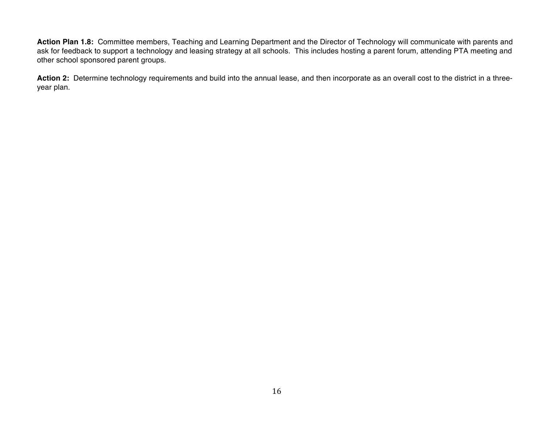**Action Plan 1.8:** Committee members, Teaching and Learning Department and the Director of Technology will communicate with parents and ask for feedback to support a technology and leasing strategy at all schools. This includes hosting a parent forum, attending PTA meeting and other school sponsored parent groups.

**Action 2:** Determine technology requirements and build into the annual lease, and then incorporate as an overall cost to the district in a threeyear plan.